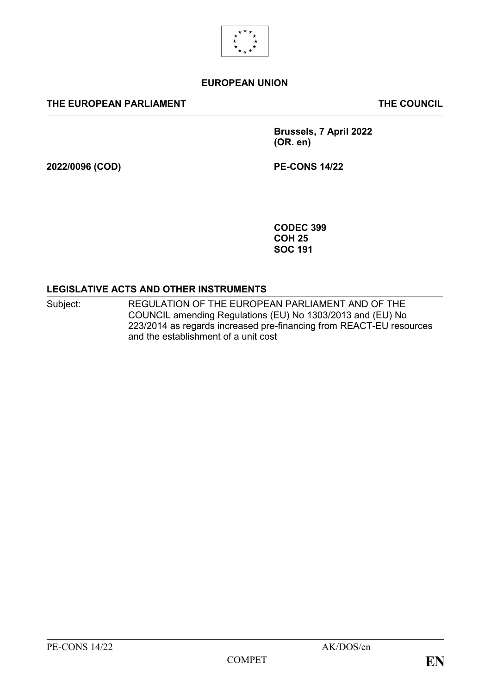

#### **EUROPEAN UNION**

#### **THE EUROPEAN PARLIAMENT THE COUNCIL**

**Brussels, 7 April 2022 (OR. en)**

**2022/0096 (COD) PE-CONS 14/22**

**CODEC 399 COH 25 SOC 191**

#### **LEGISLATIVE ACTS AND OTHER INSTRUMENTS**

Subject: REGULATION OF THE EUROPEAN PARLIAMENT AND OF THE COUNCIL amending Regulations (EU) No 1303/2013 and (EU) No 223/2014 as regards increased pre-financing from REACT-EU resources and the establishment of a unit cost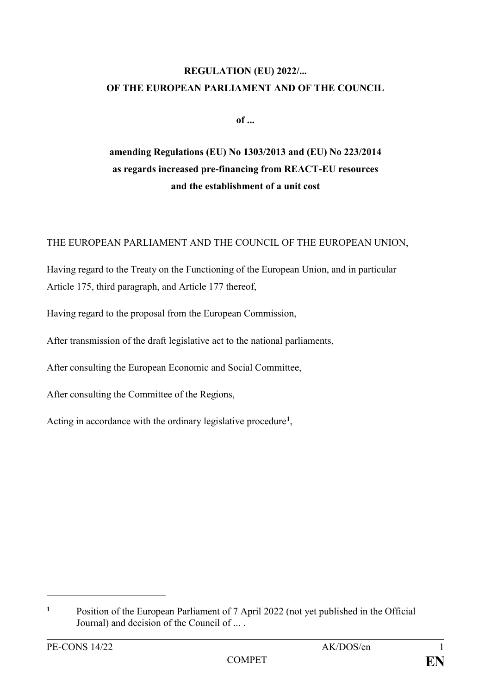# **REGULATION (EU) 2022/... OF THE EUROPEAN PARLIAMENT AND OF THE COUNCIL**

**of ...**

# **amending Regulations (EU) No 1303/2013 and (EU) No 223/2014 as regards increased pre-financing from REACT-EU resources and the establishment of a unit cost**

### THE EUROPEAN PARLIAMENT AND THE COUNCIL OF THE EUROPEAN UNION,

Having regard to the Treaty on the Functioning of the European Union, and in particular Article 175, third paragraph, and Article 177 thereof,

Having regard to the proposal from the European Commission,

After transmission of the draft legislative act to the national parliaments,

After consulting the European Economic and Social Committee,

After consulting the Committee of the Regions,

Acting in accordance with the ordinary legislative procedure**<sup>1</sup>** ,

1

**<sup>1</sup>** Position of the European Parliament of 7 April 2022 (not yet published in the Official Journal) and decision of the Council of ... .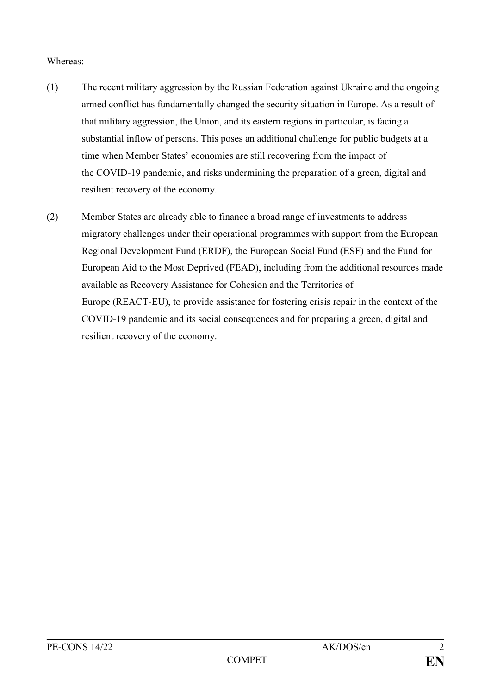#### Whereas:

- (1) The recent military aggression by the Russian Federation against Ukraine and the ongoing armed conflict has fundamentally changed the security situation in Europe. As a result of that military aggression, the Union, and its eastern regions in particular, is facing a substantial inflow of persons. This poses an additional challenge for public budgets at a time when Member States' economies are still recovering from the impact of the COVID-19 pandemic, and risks undermining the preparation of a green, digital and resilient recovery of the economy.
- (2) Member States are already able to finance a broad range of investments to address migratory challenges under their operational programmes with support from the European Regional Development Fund (ERDF), the European Social Fund (ESF) and the Fund for European Aid to the Most Deprived (FEAD), including from the additional resources made available as Recovery Assistance for Cohesion and the Territories of Europe (REACT-EU), to provide assistance for fostering crisis repair in the context of the COVID-19 pandemic and its social consequences and for preparing a green, digital and resilient recovery of the economy.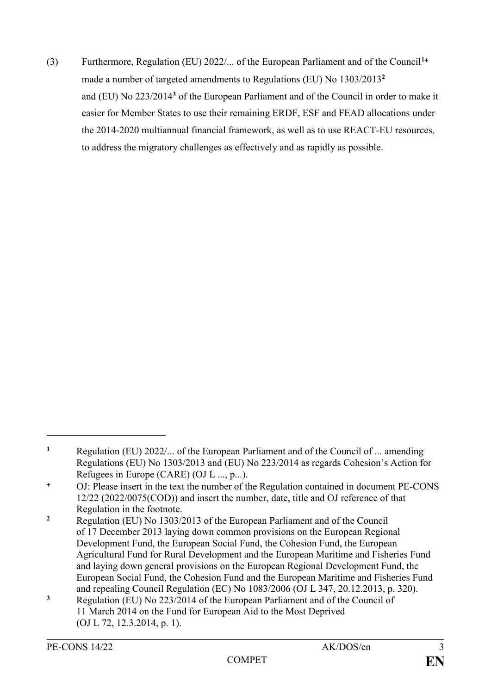(3) Furthermore, Regulation (EU) 2022/... of the European Parliament and of the Council**<sup>1</sup>** made a number of targeted amendments to Regulations (EU) No 1303/2013**<sup>2</sup>** and (EU) No 223/2014**<sup>3</sup>** of the European Parliament and of the Council in order to make it easier for Member States to use their remaining ERDF, ESF and FEAD allocations under the 2014-2020 multiannual financial framework, as well as to use REACT-EU resources, to address the migratory challenges as effectively and as rapidly as possible.

<u>.</u>

**<sup>1</sup>** Regulation (EU) 2022/... of the European Parliament and of the Council of ... amending Regulations (EU) No 1303/2013 and (EU) No 223/2014 as regards Cohesion's Action for Refugees in Europe (CARE) (OJ L ..., p...).

OJ: Please insert in the text the number of the Regulation contained in document PE-CONS 12/22 (2022/0075(COD)) and insert the number, date, title and OJ reference of that Regulation in the footnote.

**<sup>2</sup>** Regulation (EU) No 1303/2013 of the European Parliament and of the Council of 17 December 2013 laying down common provisions on the European Regional Development Fund, the European Social Fund, the Cohesion Fund, the European Agricultural Fund for Rural Development and the European Maritime and Fisheries Fund and laying down general provisions on the European Regional Development Fund, the European Social Fund, the Cohesion Fund and the European Maritime and Fisheries Fund and repealing Council Regulation (EC) No 1083/2006 (OJ L 347, 20.12.2013, p. 320).

**<sup>3</sup>** Regulation (EU) No 223/2014 of the European Parliament and of the Council of 11 March 2014 on the Fund for European Aid to the Most Deprived (OJ L 72, 12.3.2014, p. 1).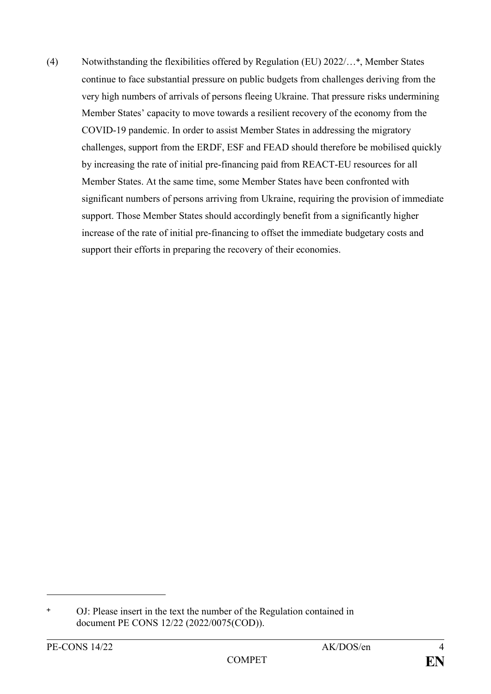(4) Notwithstanding the flexibilities offered by Regulation (EU) 2022/… , Member States continue to face substantial pressure on public budgets from challenges deriving from the very high numbers of arrivals of persons fleeing Ukraine. That pressure risks undermining Member States' capacity to move towards a resilient recovery of the economy from the COVID-19 pandemic. In order to assist Member States in addressing the migratory challenges, support from the ERDF, ESF and FEAD should therefore be mobilised quickly by increasing the rate of initial pre-financing paid from REACT-EU resources for all Member States. At the same time, some Member States have been confronted with significant numbers of persons arriving from Ukraine, requiring the provision of immediate support. Those Member States should accordingly benefit from a significantly higher increase of the rate of initial pre-financing to offset the immediate budgetary costs and support their efforts in preparing the recovery of their economies.

1

OJ: Please insert in the text the number of the Regulation contained in document PE CONS 12/22 (2022/0075(COD)).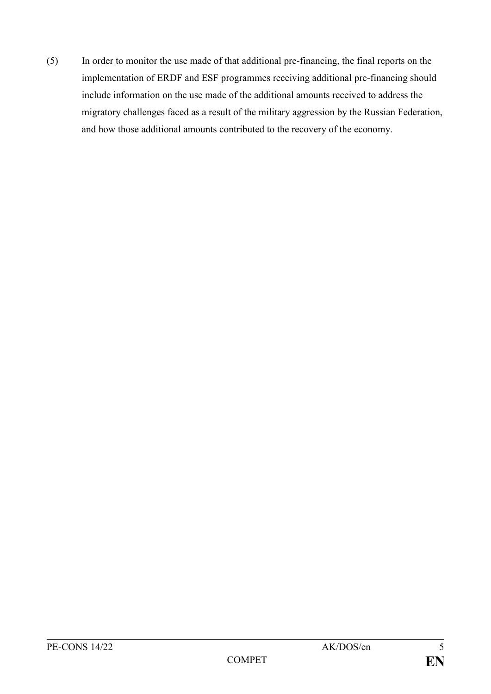(5) In order to monitor the use made of that additional pre-financing, the final reports on the implementation of ERDF and ESF programmes receiving additional pre-financing should include information on the use made of the additional amounts received to address the migratory challenges faced as a result of the military aggression by the Russian Federation, and how those additional amounts contributed to the recovery of the economy.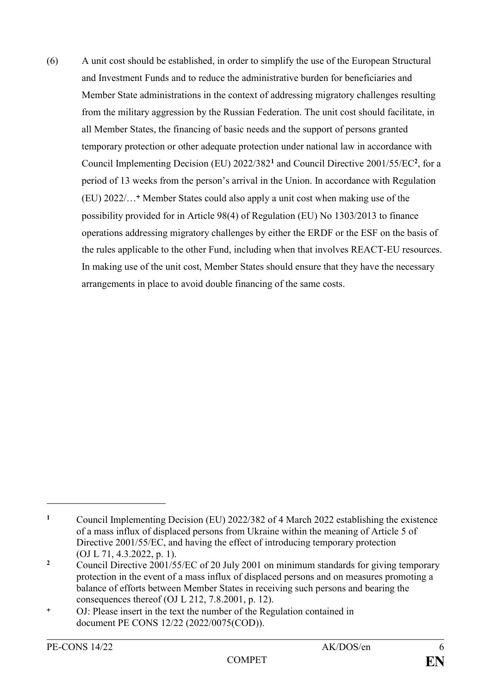(6) A unit cost should be established, in order to simplify the use of the European Structural and Investment Funds and to reduce the administrative burden for beneficiaries and Member State administrations in the context of addressing migratory challenges resulting from the military aggression by the Russian Federation. The unit cost should facilitate, in all Member States, the financing of basic needs and the support of persons granted temporary protection or other adequate protection under national law in accordance with Council Implementing Decision (EU) 2022/382**<sup>1</sup>** and Council Directive 2001/55/EC**<sup>2</sup>** , for a period of 13 weeks from the person's arrival in the Union. In accordance with Regulation (EU) 2022/...<sup>+</sup> Member States could also apply a unit cost when making use of the possibility provided for in Article 98(4) of Regulation (EU) No 1303/2013 to finance operations addressing migratory challenges by either the ERDF or the ESF on the basis of the rules applicable to the other Fund, including when that involves REACT-EU resources. In making use of the unit cost, Member States should ensure that they have the necessary arrangements in place to avoid double financing of the same costs.

1

**<sup>1</sup>** Council Implementing Decision (EU) 2022/382 of 4 March 2022 establishing the existence of a mass influx of displaced persons from Ukraine within the meaning of Article 5 of Directive 2001/55/EC, and having the effect of introducing temporary protection (OJ L 71, 4.3.2022, p. 1).

<sup>&</sup>lt;sup>2</sup> Council Directive 2001/55/EC of 20 July 2001 on minimum standards for giving temporary protection in the event of a mass influx of displaced persons and on measures promoting a balance of efforts between Member States in receiving such persons and bearing the consequences thereof (OJ L 212, 7.8.2001, p. 12).

OJ: Please insert in the text the number of the Regulation contained in document PE CONS 12/22 (2022/0075(COD)).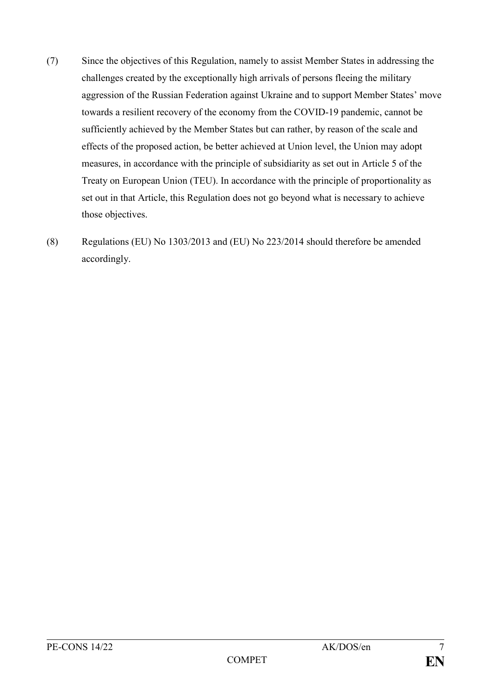- (7) Since the objectives of this Regulation, namely to assist Member States in addressing the challenges created by the exceptionally high arrivals of persons fleeing the military aggression of the Russian Federation against Ukraine and to support Member States' move towards a resilient recovery of the economy from the COVID-19 pandemic, cannot be sufficiently achieved by the Member States but can rather, by reason of the scale and effects of the proposed action, be better achieved at Union level, the Union may adopt measures, in accordance with the principle of subsidiarity as set out in Article 5 of the Treaty on European Union (TEU). In accordance with the principle of proportionality as set out in that Article, this Regulation does not go beyond what is necessary to achieve those objectives.
- (8) Regulations (EU) No 1303/2013 and (EU) No 223/2014 should therefore be amended accordingly.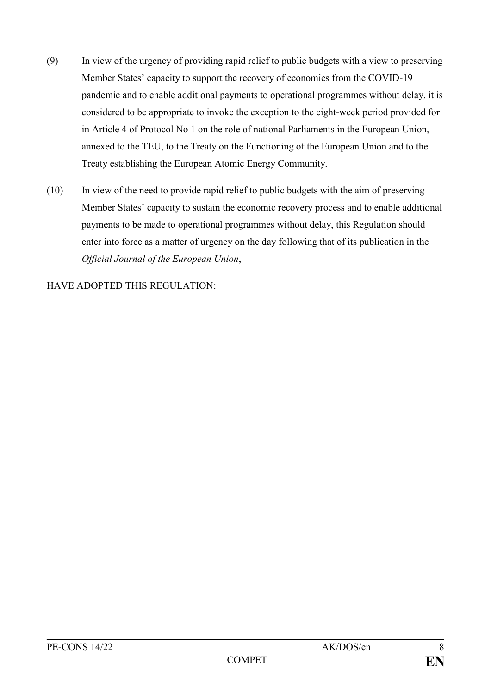- (9) In view of the urgency of providing rapid relief to public budgets with a view to preserving Member States' capacity to support the recovery of economies from the COVID-19 pandemic and to enable additional payments to operational programmes without delay, it is considered to be appropriate to invoke the exception to the eight-week period provided for in Article 4 of Protocol No 1 on the role of national Parliaments in the European Union, annexed to the TEU, to the Treaty on the Functioning of the European Union and to the Treaty establishing the European Atomic Energy Community.
- (10) In view of the need to provide rapid relief to public budgets with the aim of preserving Member States' capacity to sustain the economic recovery process and to enable additional payments to be made to operational programmes without delay, this Regulation should enter into force as a matter of urgency on the day following that of its publication in the *Official Journal of the European Union*,

HAVE ADOPTED THIS REGULATION: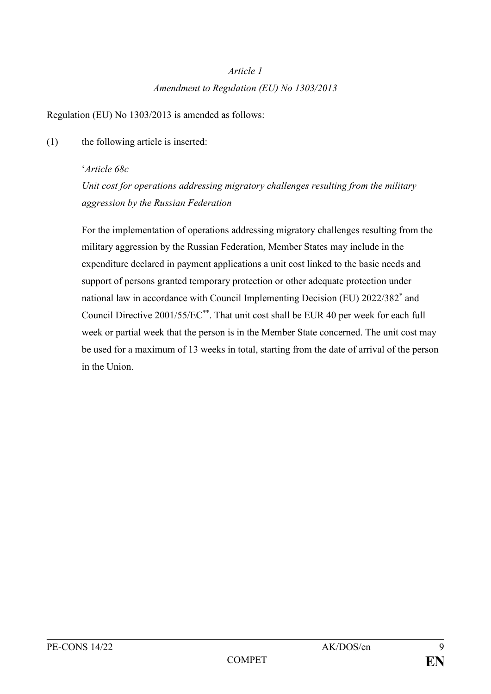# *Article 1 Amendment to Regulation (EU) No 1303/2013*

Regulation (EU) No 1303/2013 is amended as follows:

(1) the following article is inserted:

### '*Article 68c*

*Unit cost for operations addressing migratory challenges resulting from the military aggression by the Russian Federation*

For the implementation of operations addressing migratory challenges resulting from the military aggression by the Russian Federation, Member States may include in the expenditure declared in payment applications a unit cost linked to the basic needs and support of persons granted temporary protection or other adequate protection under national law in accordance with Council Implementing Decision (EU) 2022/382<sup>\*</sup> and Council Directive 2001/55/EC\*\*. That unit cost shall be EUR 40 per week for each full week or partial week that the person is in the Member State concerned. The unit cost may be used for a maximum of 13 weeks in total, starting from the date of arrival of the person in the Union.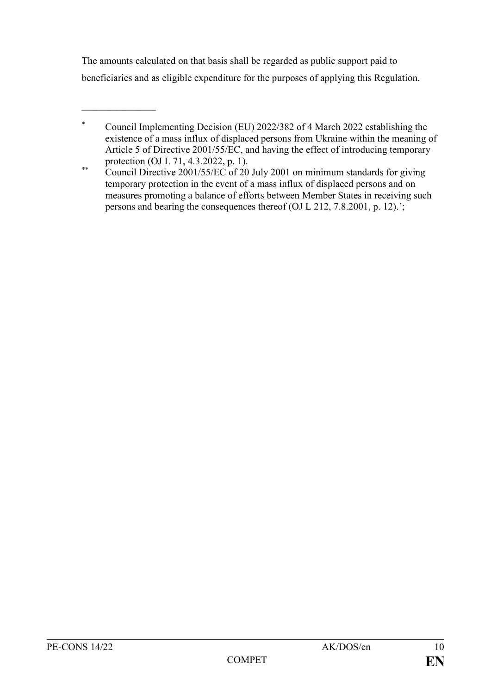The amounts calculated on that basis shall be regarded as public support paid to beneficiaries and as eligible expenditure for the purposes of applying this Regulation.

 $\frac{1}{2}$ 

Council Implementing Decision (EU) 2022/382 of 4 March 2022 establishing the existence of a mass influx of displaced persons from Ukraine within the meaning of Article 5 of Directive 2001/55/EC, and having the effect of introducing temporary protection (OJ L 71, 4.3.2022, p. 1).

<sup>\*\*</sup> Council Directive 2001/55/EC of 20 July 2001 on minimum standards for giving temporary protection in the event of a mass influx of displaced persons and on measures promoting a balance of efforts between Member States in receiving such persons and bearing the consequences thereof (OJ L 212, 7.8.2001, p. 12).';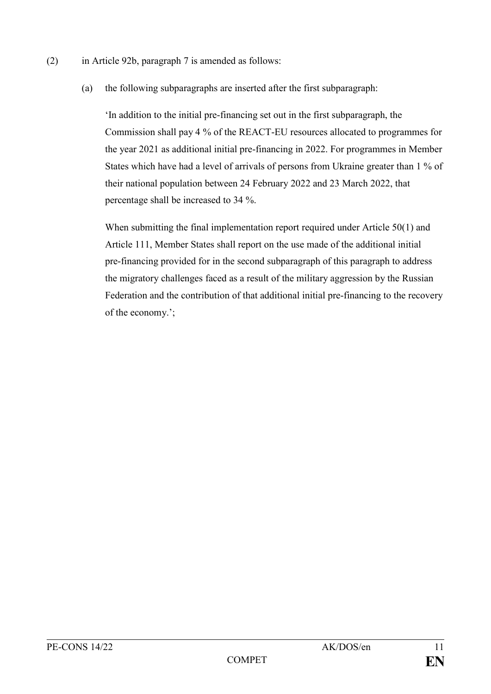- (2) in Article 92b, paragraph 7 is amended as follows:
	- (a) the following subparagraphs are inserted after the first subparagraph:

'In addition to the initial pre-financing set out in the first subparagraph, the Commission shall pay 4 % of the REACT-EU resources allocated to programmes for the year 2021 as additional initial pre-financing in 2022. For programmes in Member States which have had a level of arrivals of persons from Ukraine greater than 1 % of their national population between 24 February 2022 and 23 March 2022, that percentage shall be increased to 34 %.

When submitting the final implementation report required under Article 50(1) and Article 111, Member States shall report on the use made of the additional initial pre-financing provided for in the second subparagraph of this paragraph to address the migratory challenges faced as a result of the military aggression by the Russian Federation and the contribution of that additional initial pre-financing to the recovery of the economy.';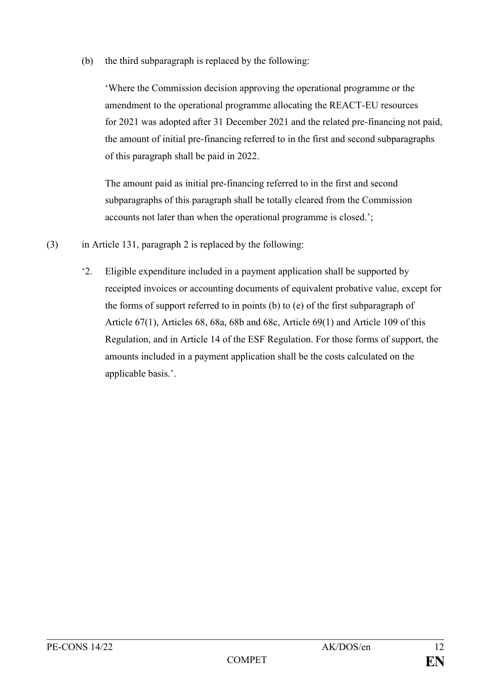(b) the third subparagraph is replaced by the following:

'Where the Commission decision approving the operational programme or the amendment to the operational programme allocating the REACT-EU resources for 2021 was adopted after 31 December 2021 and the related pre-financing not paid, the amount of initial pre-financing referred to in the first and second subparagraphs of this paragraph shall be paid in 2022.

The amount paid as initial pre-financing referred to in the first and second subparagraphs of this paragraph shall be totally cleared from the Commission accounts not later than when the operational programme is closed.';

- (3) in Article 131, paragraph 2 is replaced by the following:
	- '2. Eligible expenditure included in a payment application shall be supported by receipted invoices or accounting documents of equivalent probative value, except for the forms of support referred to in points (b) to (e) of the first subparagraph of Article 67(1), Articles 68, 68a, 68b and 68c, Article 69(1) and Article 109 of this Regulation, and in Article 14 of the ESF Regulation. For those forms of support, the amounts included in a payment application shall be the costs calculated on the applicable basis.'.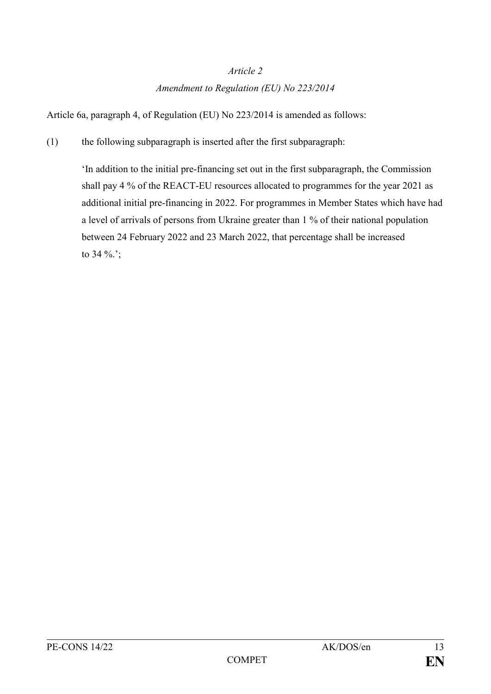#### *Article 2*

### *Amendment to Regulation (EU) No 223/2014*

Article 6a, paragraph 4, of Regulation (EU) No 223/2014 is amended as follows:

(1) the following subparagraph is inserted after the first subparagraph:

'In addition to the initial pre-financing set out in the first subparagraph, the Commission shall pay 4 % of the REACT-EU resources allocated to programmes for the year 2021 as additional initial pre-financing in 2022. For programmes in Member States which have had a level of arrivals of persons from Ukraine greater than 1 % of their national population between 24 February 2022 and 23 March 2022, that percentage shall be increased to 34 %.';